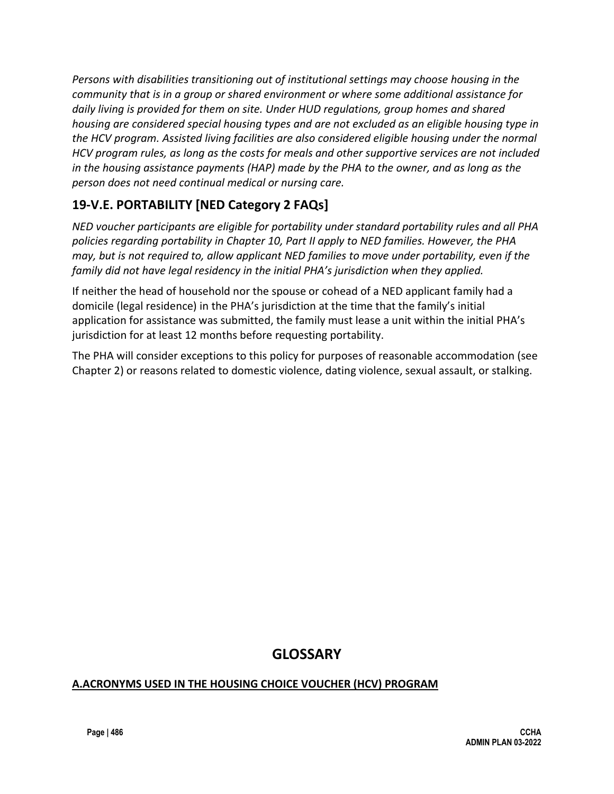*Persons with disabilities transitioning out of institutional settings may choose housing in the community that is in a group or shared environment or where some additional assistance for daily living is provided for them on site. Under HUD regulations, group homes and shared housing are considered special housing types and are not excluded as an eligible housing type in the HCV program. Assisted living facilities are also considered eligible housing under the normal HCV program rules, as long as the costs for meals and other supportive services are not included in the housing assistance payments (HAP) made by the PHA to the owner, and as long as the person does not need continual medical or nursing care.*

## **19-V.E. PORTABILITY [NED Category 2 FAQs]**

*NED voucher participants are eligible for portability under standard portability rules and all PHA policies regarding portability in Chapter 10, Part II apply to NED families. However, the PHA may, but is not required to, allow applicant NED families to move under portability, even if the family did not have legal residency in the initial PHA's jurisdiction when they applied.* 

If neither the head of household nor the spouse or cohead of a NED applicant family had a domicile (legal residence) in the PHA's jurisdiction at the time that the family's initial application for assistance was submitted, the family must lease a unit within the initial PHA's jurisdiction for at least 12 months before requesting portability.

The PHA will consider exceptions to this policy for purposes of reasonable accommodation (see Chapter 2) or reasons related to domestic violence, dating violence, sexual assault, or stalking.

# **GLOSSARY**

### **A.ACRONYMS USED IN THE HOUSING CHOICE VOUCHER (HCV) PROGRAM**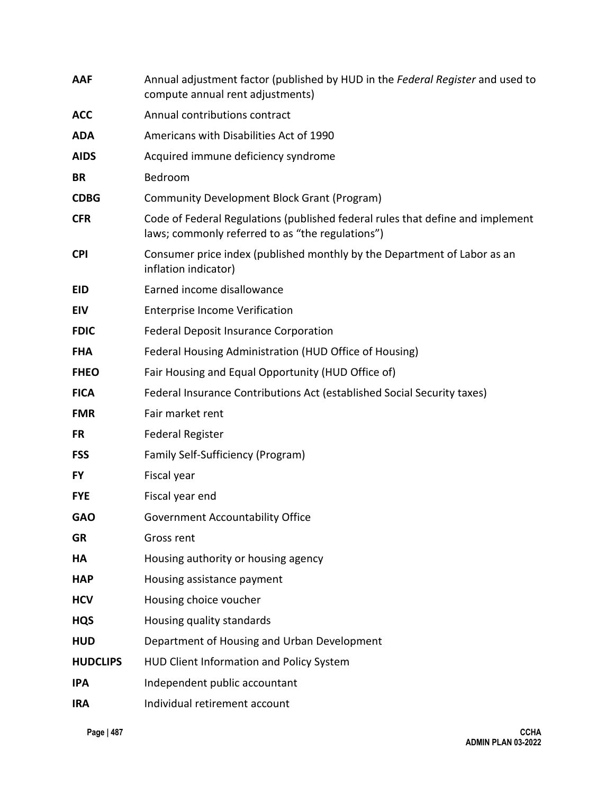| <b>AAF</b>      | Annual adjustment factor (published by HUD in the Federal Register and used to<br>compute annual rent adjustments)                 |
|-----------------|------------------------------------------------------------------------------------------------------------------------------------|
| <b>ACC</b>      | Annual contributions contract                                                                                                      |
| <b>ADA</b>      | Americans with Disabilities Act of 1990                                                                                            |
| <b>AIDS</b>     | Acquired immune deficiency syndrome                                                                                                |
| <b>BR</b>       | Bedroom                                                                                                                            |
| <b>CDBG</b>     | Community Development Block Grant (Program)                                                                                        |
| <b>CFR</b>      | Code of Federal Regulations (published federal rules that define and implement<br>laws; commonly referred to as "the regulations") |
| <b>CPI</b>      | Consumer price index (published monthly by the Department of Labor as an<br>inflation indicator)                                   |
| <b>EID</b>      | Earned income disallowance                                                                                                         |
| <b>EIV</b>      | <b>Enterprise Income Verification</b>                                                                                              |
| <b>FDIC</b>     | <b>Federal Deposit Insurance Corporation</b>                                                                                       |
| <b>FHA</b>      | Federal Housing Administration (HUD Office of Housing)                                                                             |
| <b>FHEO</b>     | Fair Housing and Equal Opportunity (HUD Office of)                                                                                 |
| <b>FICA</b>     | Federal Insurance Contributions Act (established Social Security taxes)                                                            |
| <b>FMR</b>      | Fair market rent                                                                                                                   |
| <b>FR</b>       | <b>Federal Register</b>                                                                                                            |
| <b>FSS</b>      | Family Self-Sufficiency (Program)                                                                                                  |
| <b>FY</b>       | Fiscal year                                                                                                                        |
| <b>FYE</b>      | Fiscal year end                                                                                                                    |
| <b>GAO</b>      | <b>Government Accountability Office</b>                                                                                            |
| <b>GR</b>       | Gross rent                                                                                                                         |
| HA              | Housing authority or housing agency                                                                                                |
| <b>HAP</b>      | Housing assistance payment                                                                                                         |
| <b>HCV</b>      | Housing choice voucher                                                                                                             |
| <b>HQS</b>      | Housing quality standards                                                                                                          |
| <b>HUD</b>      | Department of Housing and Urban Development                                                                                        |
| <b>HUDCLIPS</b> | HUD Client Information and Policy System                                                                                           |
| <b>IPA</b>      | Independent public accountant                                                                                                      |
| <b>IRA</b>      | Individual retirement account                                                                                                      |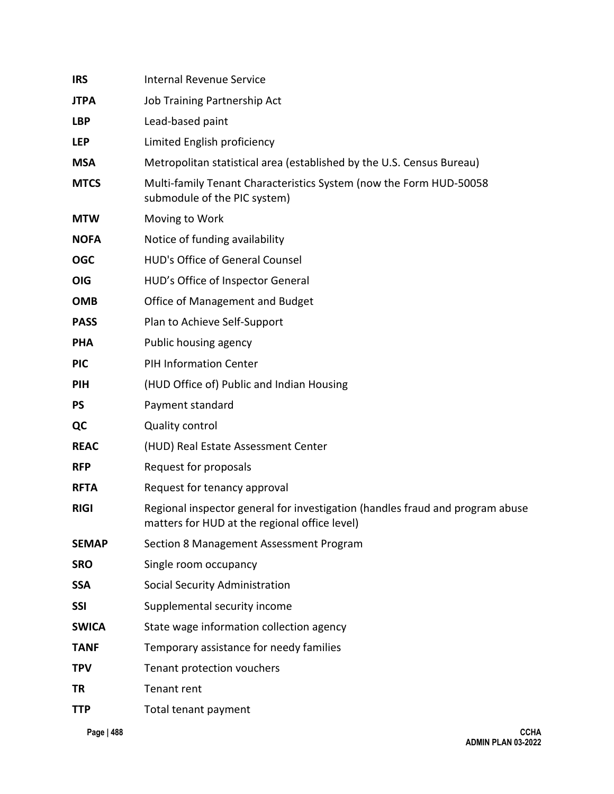| <b>IRS</b>   | <b>Internal Revenue Service</b>                                                                                                |
|--------------|--------------------------------------------------------------------------------------------------------------------------------|
| <b>JTPA</b>  | Job Training Partnership Act                                                                                                   |
| <b>LBP</b>   | Lead-based paint                                                                                                               |
| <b>LEP</b>   | Limited English proficiency                                                                                                    |
| <b>MSA</b>   | Metropolitan statistical area (established by the U.S. Census Bureau)                                                          |
| <b>MTCS</b>  | Multi-family Tenant Characteristics System (now the Form HUD-50058<br>submodule of the PIC system)                             |
| <b>MTW</b>   | Moving to Work                                                                                                                 |
| <b>NOFA</b>  | Notice of funding availability                                                                                                 |
| <b>OGC</b>   | HUD's Office of General Counsel                                                                                                |
| <b>OIG</b>   | HUD's Office of Inspector General                                                                                              |
| <b>OMB</b>   | Office of Management and Budget                                                                                                |
| <b>PASS</b>  | Plan to Achieve Self-Support                                                                                                   |
| <b>PHA</b>   | Public housing agency                                                                                                          |
| <b>PIC</b>   | <b>PIH Information Center</b>                                                                                                  |
| <b>PIH</b>   | (HUD Office of) Public and Indian Housing                                                                                      |
| <b>PS</b>    | Payment standard                                                                                                               |
| QC           | <b>Quality control</b>                                                                                                         |
| <b>REAC</b>  | (HUD) Real Estate Assessment Center                                                                                            |
| <b>RFP</b>   | Request for proposals                                                                                                          |
| <b>RFTA</b>  | Request for tenancy approval                                                                                                   |
| <b>RIGI</b>  | Regional inspector general for investigation (handles fraud and program abuse<br>matters for HUD at the regional office level) |
| <b>SEMAP</b> | Section 8 Management Assessment Program                                                                                        |
| <b>SRO</b>   | Single room occupancy                                                                                                          |
| <b>SSA</b>   | Social Security Administration                                                                                                 |
| <b>SSI</b>   | Supplemental security income                                                                                                   |
| <b>SWICA</b> | State wage information collection agency                                                                                       |
| <b>TANF</b>  | Temporary assistance for needy families                                                                                        |
| <b>TPV</b>   | Tenant protection vouchers                                                                                                     |
| ΤR           | Tenant rent                                                                                                                    |
| TTP          | Total tenant payment                                                                                                           |
|              |                                                                                                                                |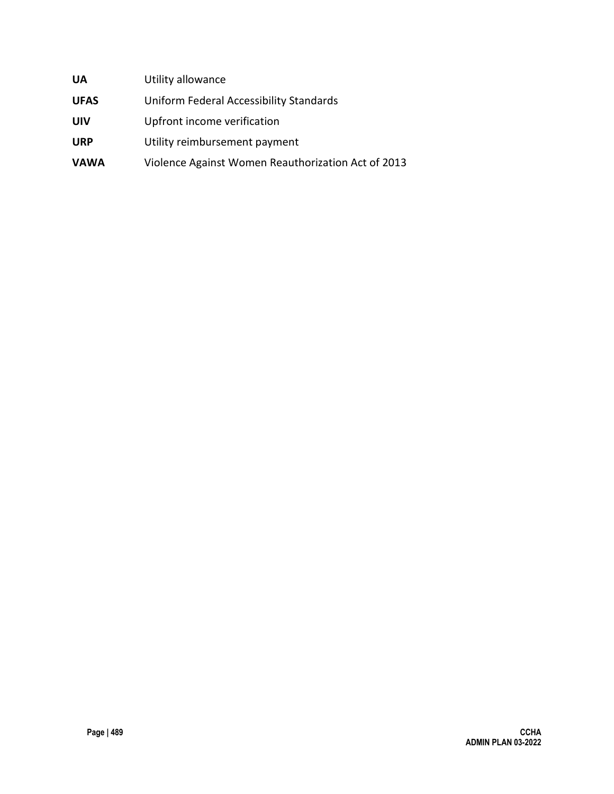| <b>UA</b>   | Utility allowance                                  |
|-------------|----------------------------------------------------|
| <b>UFAS</b> | Uniform Federal Accessibility Standards            |
| UIV         | Upfront income verification                        |
| <b>URP</b>  | Utility reimbursement payment                      |
| <b>VAWA</b> | Violence Against Women Reauthorization Act of 2013 |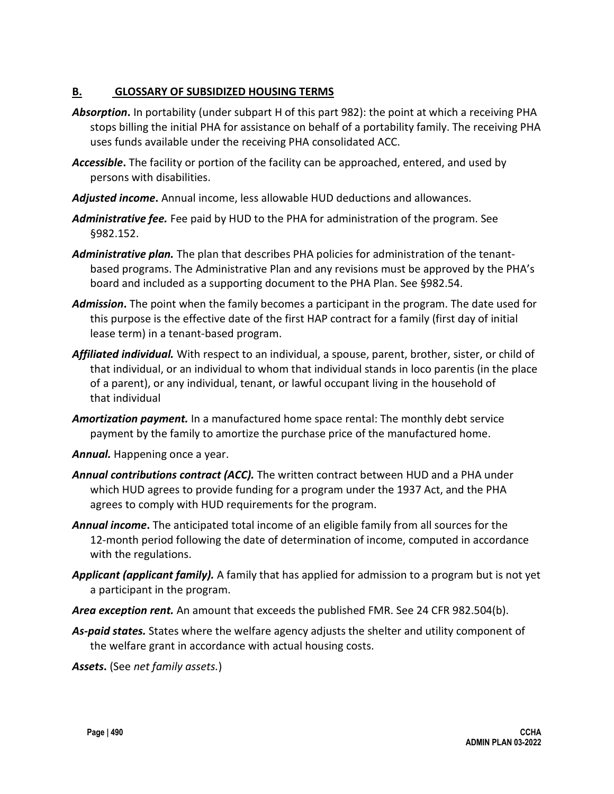#### **B. GLOSSARY OF SUBSIDIZED HOUSING TERMS**

- *Absorption***.** In portability (under subpart H of this part 982): the point at which a receiving PHA stops billing the initial PHA for assistance on behalf of a portability family. The receiving PHA uses funds available under the receiving PHA consolidated ACC.
- *Accessible***.** The facility or portion of the facility can be approached, entered, and used by persons with disabilities.
- *Adjusted income***.** Annual income, less allowable HUD deductions and allowances.
- *Administrative fee.* Fee paid by HUD to the PHA for administration of the program. See §982.152.
- *Administrative plan.* The plan that describes PHA policies for administration of the tenantbased programs. The Administrative Plan and any revisions must be approved by the PHA's board and included as a supporting document to the PHA Plan. See §982.54.
- *Admission***.** The point when the family becomes a participant in the program. The date used for this purpose is the effective date of the first HAP contract for a family (first day of initial lease term) in a tenant-based program.
- *Affiliated individual.* With respect to an individual, a spouse, parent, brother, sister, or child of that individual, or an individual to whom that individual stands in loco parentis (in the place of a parent), or any individual, tenant, or lawful occupant living in the household of that individual
- *Amortization payment.* In a manufactured home space rental: The monthly debt service payment by the family to amortize the purchase price of the manufactured home.
- *Annual.* Happening once a year.
- *Annual contributions contract (ACC).* The written contract between HUD and a PHA under which HUD agrees to provide funding for a program under the 1937 Act, and the PHA agrees to comply with HUD requirements for the program.
- *Annual income***.** The anticipated total income of an eligible family from all sources for the 12-month period following the date of determination of income, computed in accordance with the regulations.
- *Applicant (applicant family).* A family that has applied for admission to a program but is not yet a participant in the program.
- *Area exception rent.* An amount that exceeds the published FMR. See 24 CFR 982.504(b).
- *As-paid states.* States where the welfare agency adjusts the shelter and utility component of the welfare grant in accordance with actual housing costs.

*Assets***.** (See *net family assets.*)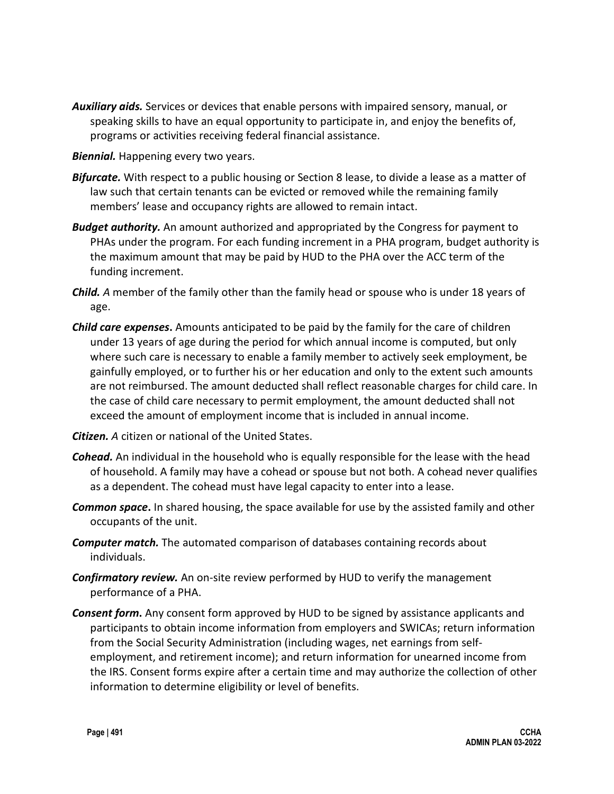- *Auxiliary aids.* Services or devices that enable persons with impaired sensory, manual, or speaking skills to have an equal opportunity to participate in, and enjoy the benefits of, programs or activities receiving federal financial assistance.
- *Biennial.* Happening every two years.
- *Bifurcate.* With respect to a public housing or Section 8 lease, to divide a lease as a matter of law such that certain tenants can be evicted or removed while the remaining family members' lease and occupancy rights are allowed to remain intact.
- *Budget authority.* An amount authorized and appropriated by the Congress for payment to PHAs under the program. For each funding increment in a PHA program, budget authority is the maximum amount that may be paid by HUD to the PHA over the ACC term of the funding increment.
- *Child. A* member of the family other than the family head or spouse who is under 18 years of age.
- *Child care expenses***.** Amounts anticipated to be paid by the family for the care of children under 13 years of age during the period for which annual income is computed, but only where such care is necessary to enable a family member to actively seek employment, be gainfully employed, or to further his or her education and only to the extent such amounts are not reimbursed. The amount deducted shall reflect reasonable charges for child care. In the case of child care necessary to permit employment, the amount deducted shall not exceed the amount of employment income that is included in annual income.
- *Citizen. A* citizen or national of the United States.
- *Cohead.* An individual in the household who is equally responsible for the lease with the head of household. A family may have a cohead or spouse but not both. A cohead never qualifies as a dependent. The cohead must have legal capacity to enter into a lease.
- *Common space***.** In shared housing, the space available for use by the assisted family and other occupants of the unit.
- *Computer match.* The automated comparison of databases containing records about individuals.
- *Confirmatory review.* An on-site review performed by HUD to verify the management performance of a PHA.
- *Consent form***.** Any consent form approved by HUD to be signed by assistance applicants and participants to obtain income information from employers and SWICAs; return information from the Social Security Administration (including wages, net earnings from selfemployment, and retirement income); and return information for unearned income from the IRS. Consent forms expire after a certain time and may authorize the collection of other information to determine eligibility or level of benefits.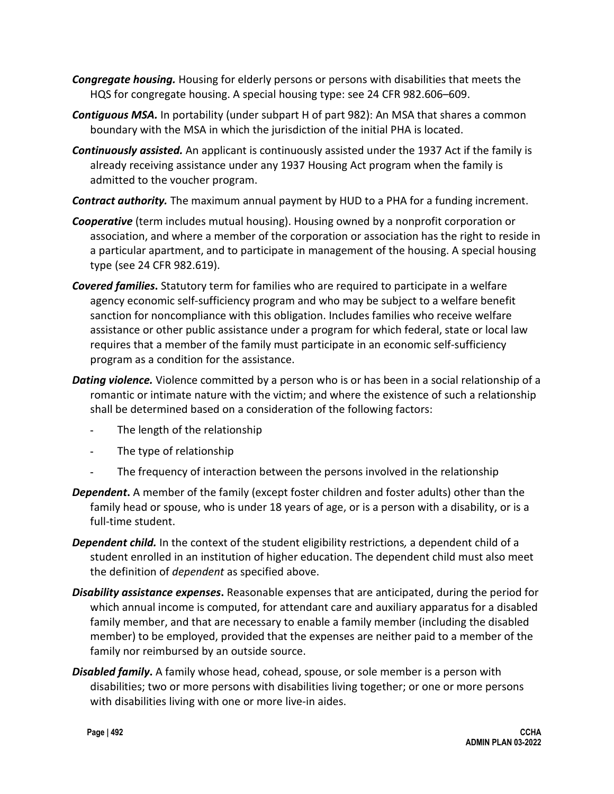- *Congregate housing.* Housing for elderly persons or persons with disabilities that meets the HQS for congregate housing. A special housing type: see 24 CFR 982.606–609.
- *Contiguous MSA.* In portability (under subpart H of part 982): An MSA that shares a common boundary with the MSA in which the jurisdiction of the initial PHA is located.
- *Continuously assisted.* An applicant is continuously assisted under the 1937 Act if the family is already receiving assistance under any 1937 Housing Act program when the family is admitted to the voucher program.
- *Contract authority.* The maximum annual payment by HUD to a PHA for a funding increment.
- *Cooperative* (term includes mutual housing). Housing owned by a nonprofit corporation or association, and where a member of the corporation or association has the right to reside in a particular apartment, and to participate in management of the housing. A special housing type (see 24 CFR 982.619).
- *Covered families***.** Statutory term for families who are required to participate in a welfare agency economic self-sufficiency program and who may be subject to a welfare benefit sanction for noncompliance with this obligation. Includes families who receive welfare assistance or other public assistance under a program for which federal, state or local law requires that a member of the family must participate in an economic self-sufficiency program as a condition for the assistance.
- *Dating violence.* Violence committed by a person who is or has been in a social relationship of a romantic or intimate nature with the victim; and where the existence of such a relationship shall be determined based on a consideration of the following factors:
	- The length of the relationship
	- The type of relationship
	- The frequency of interaction between the persons involved in the relationship
- *Dependent***.** A member of the family (except foster children and foster adults) other than the family head or spouse, who is under 18 years of age, or is a person with a disability, or is a full-time student.
- *Dependent child.* In the context of the student eligibility restrictions*,* a dependent child of a student enrolled in an institution of higher education. The dependent child must also meet the definition of *dependent* as specified above.
- *Disability assistance expenses***.** Reasonable expenses that are anticipated, during the period for which annual income is computed, for attendant care and auxiliary apparatus for a disabled family member, and that are necessary to enable a family member (including the disabled member) to be employed, provided that the expenses are neither paid to a member of the family nor reimbursed by an outside source.
- *Disabled family***.** A family whose head, cohead, spouse, or sole member is a person with disabilities; two or more persons with disabilities living together; or one or more persons with disabilities living with one or more live-in aides.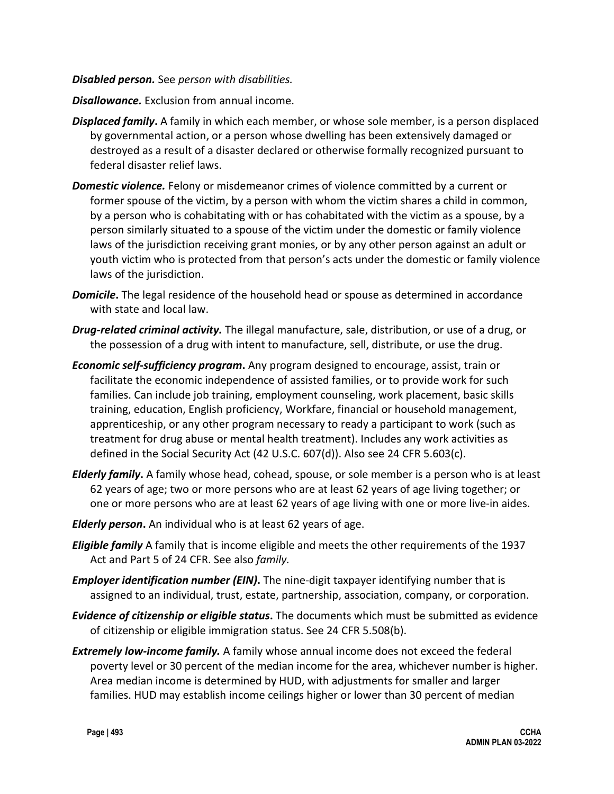#### *Disabled person.* See *person with disabilities.*

- *Disallowance.* Exclusion from annual income.
- *Displaced family***.** A family in which each member, or whose sole member, is a person displaced by governmental action, or a person whose dwelling has been extensively damaged or destroyed as a result of a disaster declared or otherwise formally recognized pursuant to federal disaster relief laws.
- *Domestic violence.* Felony or misdemeanor crimes of violence committed by a current or former spouse of the victim, by a person with whom the victim shares a child in common, by a person who is cohabitating with or has cohabitated with the victim as a spouse, by a person similarly situated to a spouse of the victim under the domestic or family violence laws of the jurisdiction receiving grant monies, or by any other person against an adult or youth victim who is protected from that person's acts under the domestic or family violence laws of the jurisdiction.
- *Domicile***.** The legal residence of the household head or spouse as determined in accordance with state and local law.
- *Drug-related criminal activity.* The illegal manufacture, sale, distribution, or use of a drug, or the possession of a drug with intent to manufacture, sell, distribute, or use the drug.
- *Economic self-sufficiency program***.** Any program designed to encourage, assist, train or facilitate the economic independence of assisted families, or to provide work for such families. Can include job training, employment counseling, work placement, basic skills training, education, English proficiency, Workfare, financial or household management, apprenticeship, or any other program necessary to ready a participant to work (such as treatment for drug abuse or mental health treatment). Includes any work activities as defined in the Social Security Act (42 U.S.C. 607(d)). Also see 24 CFR 5.603(c).
- *Elderly family***.** A family whose head, cohead, spouse, or sole member is a person who is at least 62 years of age; two or more persons who are at least 62 years of age living together; or one or more persons who are at least 62 years of age living with one or more live-in aides.
- *Elderly person***.** An individual who is at least 62 years of age.
- *Eligible family* A family that is income eligible and meets the other requirements of the 1937 Act and Part 5 of 24 CFR. See also *family.*
- *Employer identification number (EIN)***.** The nine-digit taxpayer identifying number that is assigned to an individual, trust, estate, partnership, association, company, or corporation.
- *Evidence of citizenship or eligible status***.** The documents which must be submitted as evidence of citizenship or eligible immigration status. See 24 CFR 5.508(b).
- *Extremely low-income family.* A family whose annual income does not exceed the federal poverty level or 30 percent of the median income for the area, whichever number is higher. Area median income is determined by HUD, with adjustments for smaller and larger families. HUD may establish income ceilings higher or lower than 30 percent of median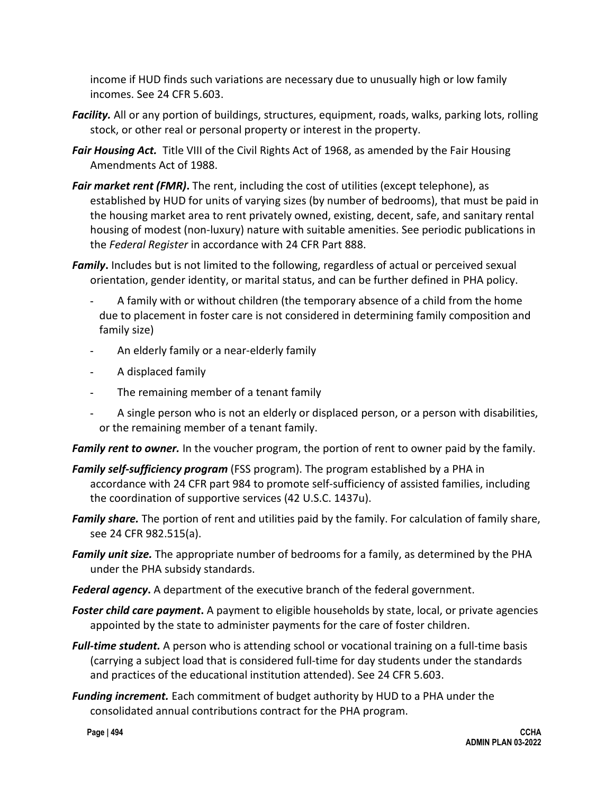income if HUD finds such variations are necessary due to unusually high or low family incomes. See 24 CFR 5.603.

- *Facility.* All or any portion of buildings, structures, equipment, roads, walks, parking lots, rolling stock, or other real or personal property or interest in the property.
- *Fair Housing Act.* Title VIII of the Civil Rights Act of 1968, as amended by the Fair Housing Amendments Act of 1988.
- *Fair market rent (FMR)***.** The rent, including the cost of utilities (except telephone), as established by HUD for units of varying sizes (by number of bedrooms), that must be paid in the housing market area to rent privately owned, existing, decent, safe, and sanitary rental housing of modest (non-luxury) nature with suitable amenities. See periodic publications in the *Federal Register* in accordance with 24 CFR Part 888.
- *Family***.** Includes but is not limited to the following, regardless of actual or perceived sexual orientation, gender identity, or marital status, and can be further defined in PHA policy.
	- A family with or without children (the temporary absence of a child from the home due to placement in foster care is not considered in determining family composition and family size)
	- An elderly family or a near-elderly family
	- A displaced family
	- The remaining member of a tenant family
	- A single person who is not an elderly or displaced person, or a person with disabilities, or the remaining member of a tenant family.

Family rent to owner. In the voucher program, the portion of rent to owner paid by the family.

- *Family self-sufficiency program* (FSS program). The program established by a PHA in accordance with 24 CFR part 984 to promote self-sufficiency of assisted families, including the coordination of supportive services (42 U.S.C. 1437u).
- *Family share.* The portion of rent and utilities paid by the family. For calculation of family share, see 24 CFR 982.515(a).
- *Family unit size.* The appropriate number of bedrooms for a family, as determined by the PHA under the PHA subsidy standards.
- *Federal agency***.** A department of the executive branch of the federal government.
- *Foster child care payment***.** A payment to eligible households by state, local, or private agencies appointed by the state to administer payments for the care of foster children.
- *Full-time student.* A person who is attending school or vocational training on a full-time basis (carrying a subject load that is considered full-time for day students under the standards and practices of the educational institution attended). See 24 CFR 5.603.
- *Funding increment.* Each commitment of budget authority by HUD to a PHA under the consolidated annual contributions contract for the PHA program.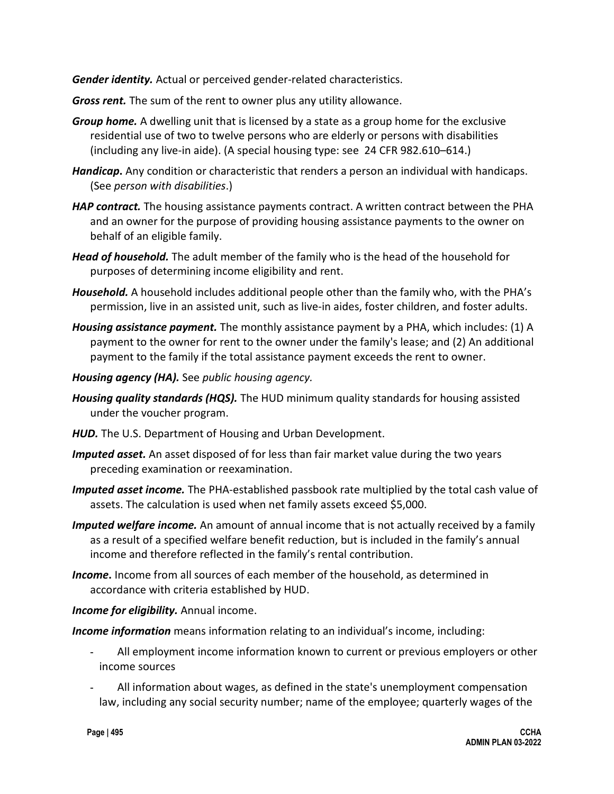*Gender identity.* Actual or perceived gender-related characteristics.

- *Gross rent.* The sum of the rent to owner plus any utility allowance.
- *Group home.* A dwelling unit that is licensed by a state as a group home for the exclusive residential use of two to twelve persons who are elderly or persons with disabilities (including any live-in aide). (A special housing type: see 24 CFR 982.610–614.)
- *Handicap***.** Any condition or characteristic that renders a person an individual with handicaps. (See *person with disabilities*.)
- *HAP contract.* The housing assistance payments contract. A written contract between the PHA and an owner for the purpose of providing housing assistance payments to the owner on behalf of an eligible family.
- *Head of household.* The adult member of the family who is the head of the household for purposes of determining income eligibility and rent.
- *Household.* A household includes additional people other than the family who, with the PHA's permission, live in an assisted unit, such as live-in aides, foster children, and foster adults.
- *Housing assistance payment.* The monthly assistance payment by a PHA, which includes: (1) A payment to the owner for rent to the owner under the family's lease; and (2) An additional payment to the family if the total assistance payment exceeds the rent to owner.
- *Housing agency (HA).* See *public housing agency.*
- *Housing quality standards (HQS).* The HUD minimum quality standards for housing assisted under the voucher program.
- *HUD.* The U.S. Department of Housing and Urban Development.
- *Imputed asset.* An asset disposed of for less than fair market value during the two years preceding examination or reexamination.
- *Imputed asset income.* The PHA-established passbook rate multiplied by the total cash value of assets. The calculation is used when net family assets exceed \$5,000.
- *Imputed welfare income.* An amount of annual income that is not actually received by a family as a result of a specified welfare benefit reduction, but is included in the family's annual income and therefore reflected in the family's rental contribution.
- *Income***.** Income from all sources of each member of the household, as determined in accordance with criteria established by HUD.
- *Income for eligibility.* Annual income.
- *Income information* means information relating to an individual's income, including:
	- All employment income information known to current or previous employers or other income sources
	- All information about wages, as defined in the state's unemployment compensation law, including any social security number; name of the employee; quarterly wages of the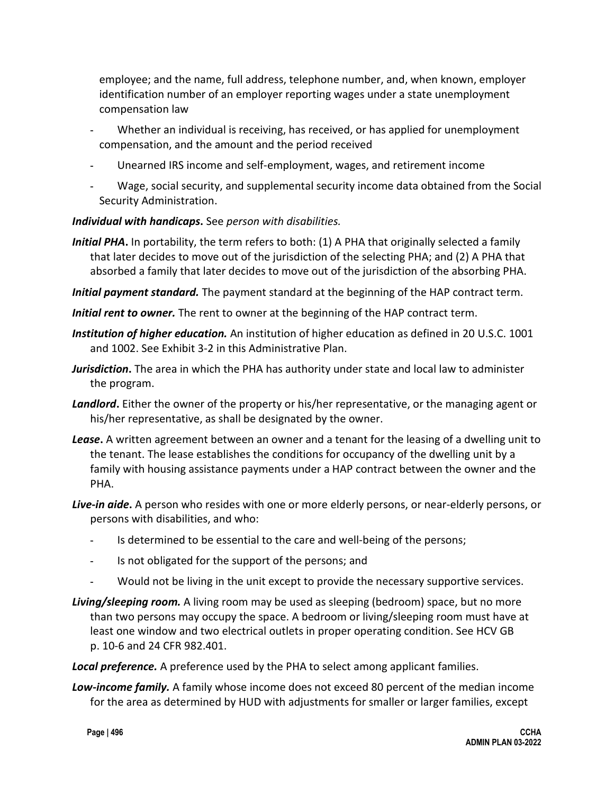employee; and the name, full address, telephone number, and, when known, employer identification number of an employer reporting wages under a state unemployment compensation law

- Whether an individual is receiving, has received, or has applied for unemployment compensation, and the amount and the period received
- Unearned IRS income and self-employment, wages, and retirement income
- Wage, social security, and supplemental security income data obtained from the Social Security Administration.

### *Individual with handicaps***.** See *person with disabilities.*

- *Initial PHA*. In portability, the term refers to both: (1) A PHA that originally selected a family that later decides to move out of the jurisdiction of the selecting PHA; and (2) A PHA that absorbed a family that later decides to move out of the jurisdiction of the absorbing PHA.
- *Initial payment standard.* The payment standard at the beginning of the HAP contract term.
- *Initial rent to owner.* The rent to owner at the beginning of the HAP contract term.
- *Institution of higher education.* An institution of higher education as defined in 20 U.S.C. 1001 and 1002. See Exhibit 3-2 in this Administrative Plan.
- *Jurisdiction***.** The area in which the PHA has authority under state and local law to administer the program.
- *Landlord***.** Either the owner of the property or his/her representative, or the managing agent or his/her representative, as shall be designated by the owner.
- *Lease***.** A written agreement between an owner and a tenant for the leasing of a dwelling unit to the tenant. The lease establishes the conditions for occupancy of the dwelling unit by a family with housing assistance payments under a HAP contract between the owner and the PHA.
- *Live-in aide***.** A person who resides with one or more elderly persons, or near-elderly persons, or persons with disabilities, and who:
	- Is determined to be essential to the care and well-being of the persons;
	- Is not obligated for the support of the persons; and
	- Would not be living in the unit except to provide the necessary supportive services.
- *Living/sleeping room.* A living room may be used as sleeping (bedroom) space, but no more than two persons may occupy the space. A bedroom or living/sleeping room must have at least one window and two electrical outlets in proper operating condition. See HCV GB p. 10-6 and 24 CFR 982.401.
- *Local preference.* A preference used by the PHA to select among applicant families.
- *Low-income family.* A family whose income does not exceed 80 percent of the median income for the area as determined by HUD with adjustments for smaller or larger families, except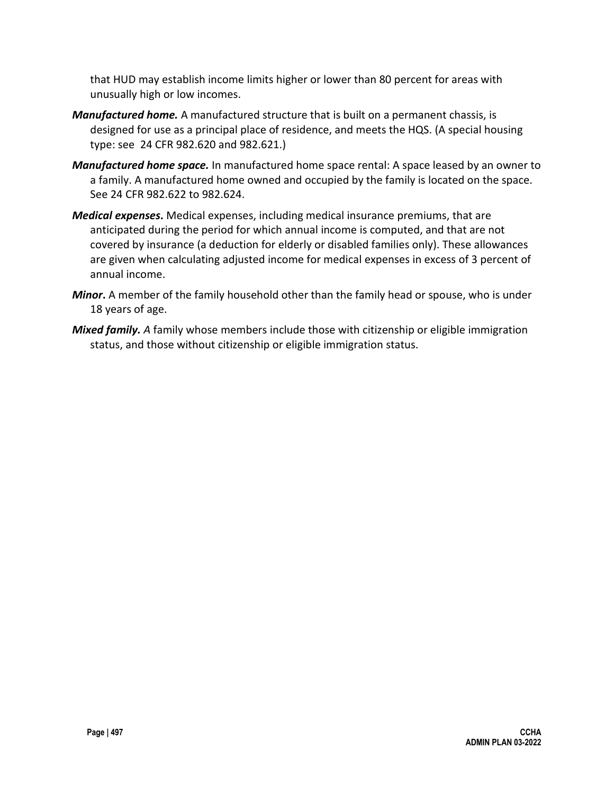that HUD may establish income limits higher or lower than 80 percent for areas with unusually high or low incomes.

- *Manufactured home.* A manufactured structure that is built on a permanent chassis, is designed for use as a principal place of residence, and meets the HQS. (A special housing type: see 24 CFR 982.620 and 982.621.)
- *Manufactured home space.* In manufactured home space rental: A space leased by an owner to a family. A manufactured home owned and occupied by the family is located on the space. See 24 CFR 982.622 to 982.624.
- *Medical expenses***.** Medical expenses, including medical insurance premiums, that are anticipated during the period for which annual income is computed, and that are not covered by insurance (a deduction for elderly or disabled families only). These allowances are given when calculating adjusted income for medical expenses in excess of 3 percent of annual income.
- *Minor***.** A member of the family household other than the family head or spouse, who is under 18 years of age.
- *Mixed family. A* family whose members include those with citizenship or eligible immigration status, and those without citizenship or eligible immigration status.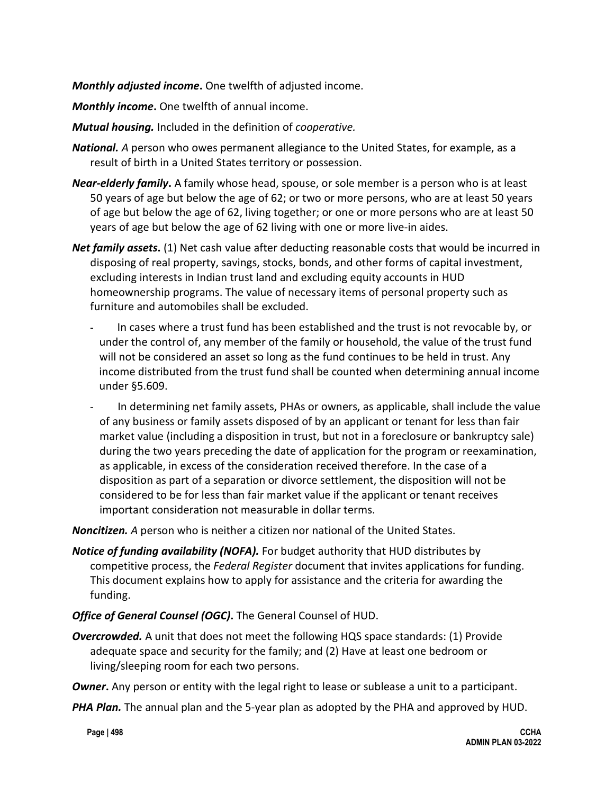*Monthly adjusted income***.** One twelfth of adjusted income.

*Monthly income***.** One twelfth of annual income.

*Mutual housing.* Included in the definition of *cooperative.*

- *National. A* person who owes permanent allegiance to the United States, for example, as a result of birth in a United States territory or possession.
- *Near-elderly family***.** A family whose head, spouse, or sole member is a person who is at least 50 years of age but below the age of 62; or two or more persons, who are at least 50 years of age but below the age of 62, living together; or one or more persons who are at least 50 years of age but below the age of 62 living with one or more live-in aides.
- **Net family assets.** (1) Net cash value after deducting reasonable costs that would be incurred in disposing of real property, savings, stocks, bonds, and other forms of capital investment, excluding interests in Indian trust land and excluding equity accounts in HUD homeownership programs. The value of necessary items of personal property such as furniture and automobiles shall be excluded.
	- In cases where a trust fund has been established and the trust is not revocable by, or under the control of, any member of the family or household, the value of the trust fund will not be considered an asset so long as the fund continues to be held in trust. Any income distributed from the trust fund shall be counted when determining annual income under §5.609.
	- In determining net family assets, PHAs or owners, as applicable, shall include the value of any business or family assets disposed of by an applicant or tenant for less than fair market value (including a disposition in trust, but not in a foreclosure or bankruptcy sale) during the two years preceding the date of application for the program or reexamination, as applicable, in excess of the consideration received therefore. In the case of a disposition as part of a separation or divorce settlement, the disposition will not be considered to be for less than fair market value if the applicant or tenant receives important consideration not measurable in dollar terms.

*Noncitizen. A* person who is neither a citizen nor national of the United States.

- *Notice of funding availability (NOFA).* For budget authority that HUD distributes by competitive process, the *Federal Register* document that invites applications for funding. This document explains how to apply for assistance and the criteria for awarding the funding.
- *Office of General Counsel (OGC)***.** The General Counsel of HUD.
- **Overcrowded.** A unit that does not meet the following HQS space standards: (1) Provide adequate space and security for the family; and (2) Have at least one bedroom or living/sleeping room for each two persons.

*Owner***.** Any person or entity with the legal right to lease or sublease a unit to a participant.

*PHA Plan.* The annual plan and the 5-year plan as adopted by the PHA and approved by HUD.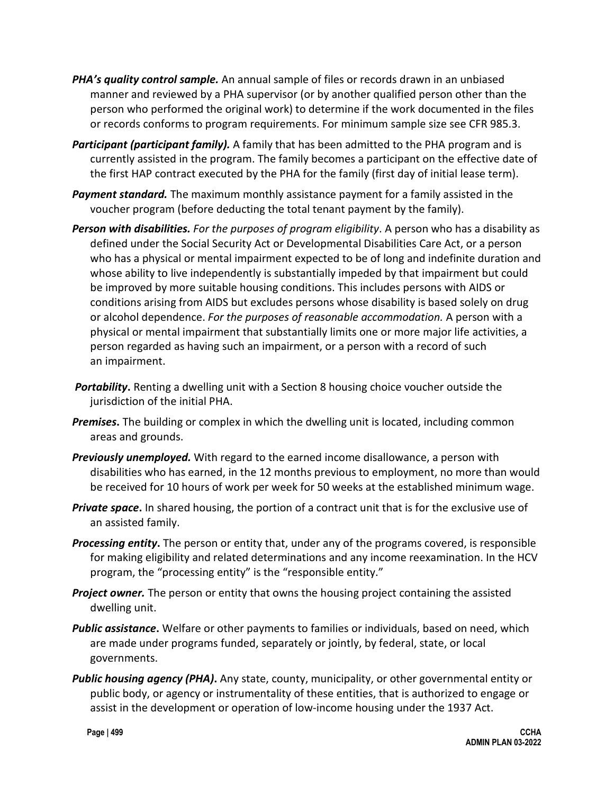- *PHA's quality control sample.* An annual sample of files or records drawn in an unbiased manner and reviewed by a PHA supervisor (or by another qualified person other than the person who performed the original work) to determine if the work documented in the files or records conforms to program requirements. For minimum sample size see CFR 985.3.
- *Participant (participant family).* A family that has been admitted to the PHA program and is currently assisted in the program. The family becomes a participant on the effective date of the first HAP contract executed by the PHA for the family (first day of initial lease term).
- *Payment standard.* The maximum monthly assistance payment for a family assisted in the voucher program (before deducting the total tenant payment by the family).
- *Person with disabilities. For the purposes of program eligibility*. A person who has a disability as defined under the Social Security Act or Developmental Disabilities Care Act, or a person who has a physical or mental impairment expected to be of long and indefinite duration and whose ability to live independently is substantially impeded by that impairment but could be improved by more suitable housing conditions. This includes persons with AIDS or conditions arising from AIDS but excludes persons whose disability is based solely on drug or alcohol dependence. *For the purposes of reasonable accommodation.* A person with a physical or mental impairment that substantially limits one or more major life activities, a person regarded as having such an impairment, or a person with a record of such an impairment.
- *Portability***.** Renting a dwelling unit with a Section 8 housing choice voucher outside the jurisdiction of the initial PHA.
- *Premises***.** The building or complex in which the dwelling unit is located, including common areas and grounds.
- *Previously unemployed.* With regard to the earned income disallowance, a person with disabilities who has earned, in the 12 months previous to employment, no more than would be received for 10 hours of work per week for 50 weeks at the established minimum wage.
- *Private space***.** In shared housing, the portion of a contract unit that is for the exclusive use of an assisted family.
- *Processing entity***.** The person or entity that, under any of the programs covered, is responsible for making eligibility and related determinations and any income reexamination. In the HCV program, the "processing entity" is the "responsible entity."
- *Project owner.* The person or entity that owns the housing project containing the assisted dwelling unit.
- *Public assistance***.** Welfare or other payments to families or individuals, based on need, which are made under programs funded, separately or jointly, by federal, state, or local governments.
- *Public housing agency (PHA)***.** Any state, county, municipality, or other governmental entity or public body, or agency or instrumentality of these entities, that is authorized to engage or assist in the development or operation of low-income housing under the 1937 Act.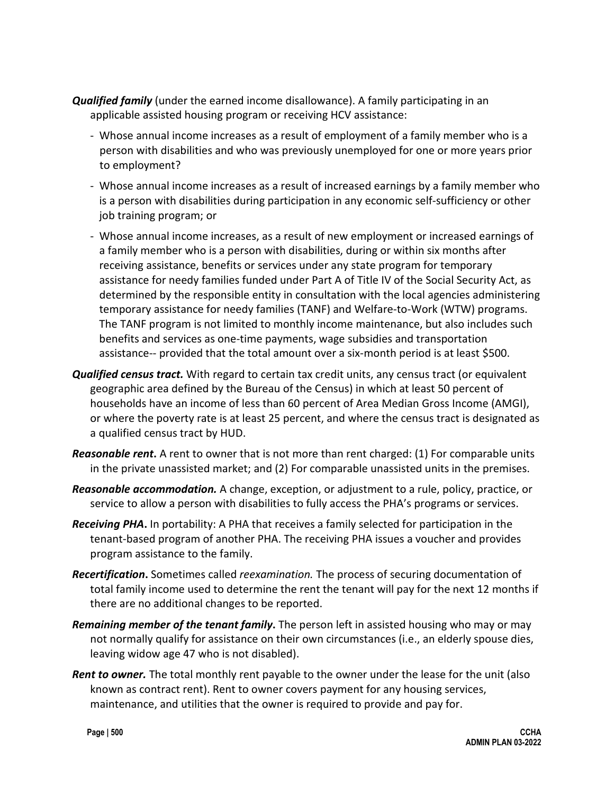- *Qualified family* (under the earned income disallowance). A family participating in an applicable assisted housing program or receiving HCV assistance:
	- Whose annual income increases as a result of employment of a family member who is a person with disabilities and who was previously unemployed for one or more years prior to employment?
	- Whose annual income increases as a result of increased earnings by a family member who is a person with disabilities during participation in any economic self-sufficiency or other job training program; or
	- Whose annual income increases, as a result of new employment or increased earnings of a family member who is a person with disabilities, during or within six months after receiving assistance, benefits or services under any state program for temporary assistance for needy families funded under Part A of Title IV of the Social Security Act, as determined by the responsible entity in consultation with the local agencies administering temporary assistance for needy families (TANF) and Welfare-to-Work (WTW) programs. The TANF program is not limited to monthly income maintenance, but also includes such benefits and services as one-time payments, wage subsidies and transportation assistance-- provided that the total amount over a six-month period is at least \$500.
- *Qualified census tract.* With regard to certain tax credit units, any census tract (or equivalent geographic area defined by the Bureau of the Census) in which at least 50 percent of households have an income of less than 60 percent of Area Median Gross Income (AMGI), or where the poverty rate is at least 25 percent, and where the census tract is designated as a qualified census tract by HUD.
- *Reasonable rent***.** A rent to owner that is not more than rent charged: (1) For comparable units in the private unassisted market; and (2) For comparable unassisted units in the premises.
- *Reasonable accommodation.* A change, exception, or adjustment to a rule, policy, practice, or service to allow a person with disabilities to fully access the PHA's programs or services.
- *Receiving PHA***.** In portability: A PHA that receives a family selected for participation in the tenant-based program of another PHA. The receiving PHA issues a voucher and provides program assistance to the family.
- *Recertification***.** Sometimes called *reexamination.* The process of securing documentation of total family income used to determine the rent the tenant will pay for the next 12 months if there are no additional changes to be reported.
- *Remaining member of the tenant family***.** The person left in assisted housing who may or may not normally qualify for assistance on their own circumstances (i.e., an elderly spouse dies, leaving widow age 47 who is not disabled).
- *Rent to owner.* The total monthly rent payable to the owner under the lease for the unit (also known as contract rent). Rent to owner covers payment for any housing services, maintenance, and utilities that the owner is required to provide and pay for.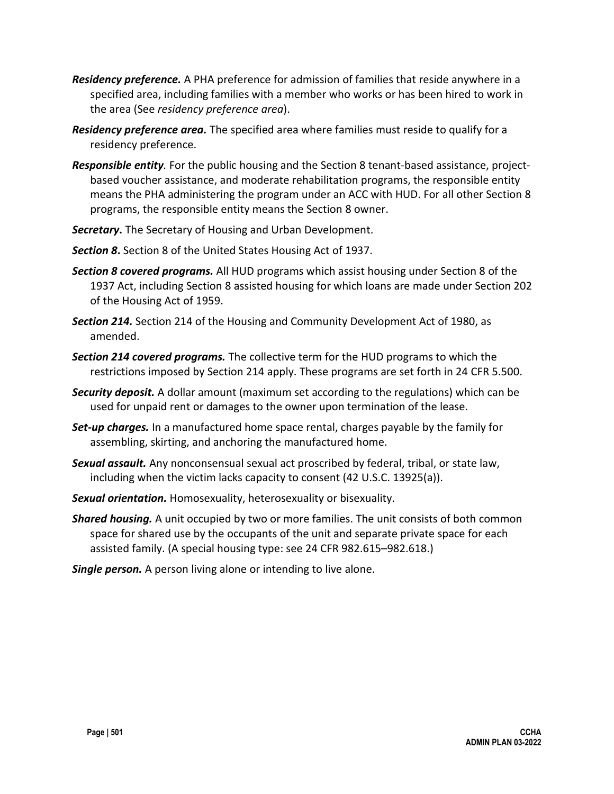- *Residency preference.* A PHA preference for admission of families that reside anywhere in a specified area, including families with a member who works or has been hired to work in the area (See *residency preference area*).
- *Residency preference area.* The specified area where families must reside to qualify for a residency preference.
- *Responsible entity.* For the public housing and the Section 8 tenant-based assistance, projectbased voucher assistance, and moderate rehabilitation programs, the responsible entity means the PHA administering the program under an ACC with HUD. For all other Section 8 programs, the responsible entity means the Section 8 owner.
- *Secretary***.** The Secretary of Housing and Urban Development.
- *Section 8***.** Section 8 of the United States Housing Act of 1937.
- *Section 8 covered programs.* All HUD programs which assist housing under Section 8 of the 1937 Act, including Section 8 assisted housing for which loans are made under Section 202 of the Housing Act of 1959.
- *Section 214.* Section 214 of the Housing and Community Development Act of 1980, as amended.
- *Section 214 covered programs.* The collective term for the HUD programs to which the restrictions imposed by Section 214 apply. These programs are set forth in 24 CFR 5.500.
- *Security deposit.* A dollar amount (maximum set according to the regulations) which can be used for unpaid rent or damages to the owner upon termination of the lease.
- *Set-up charges.* In a manufactured home space rental, charges payable by the family for assembling, skirting, and anchoring the manufactured home.
- *Sexual assault.* Any nonconsensual sexual act proscribed by federal, tribal, or state law, including when the victim lacks capacity to consent (42 U.S.C. 13925(a)).
- *Sexual orientation.* Homosexuality, heterosexuality or bisexuality.
- *Shared housing.* A unit occupied by two or more families. The unit consists of both common space for shared use by the occupants of the unit and separate private space for each assisted family. (A special housing type: see 24 CFR 982.615–982.618.)
- *Single person.* A person living alone or intending to live alone.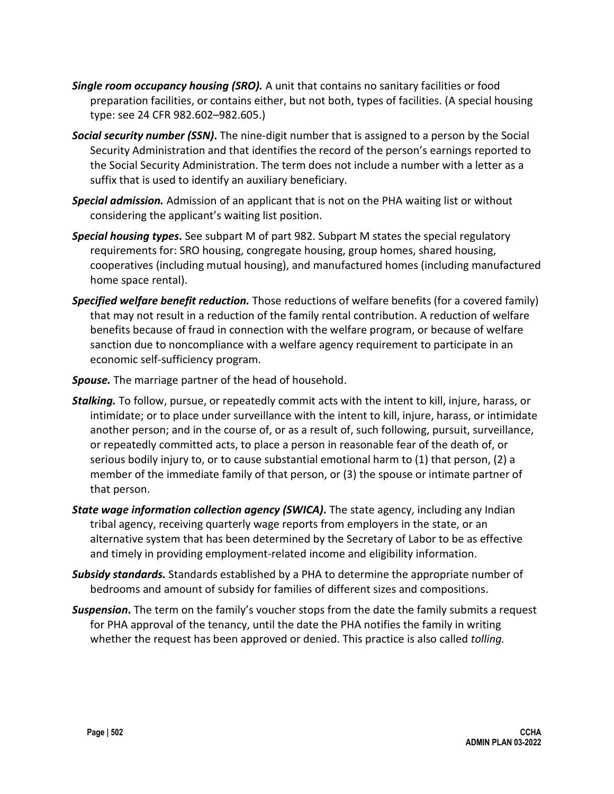- *Single room occupancy housing (SRO).* A unit that contains no sanitary facilities or food preparation facilities, or contains either, but not both, types of facilities. (A special housing type: see 24 CFR 982.602–982.605.)
- *Social security number (SSN)***.** The nine-digit number that is assigned to a person by the Social Security Administration and that identifies the record of the person's earnings reported to the Social Security Administration. The term does not include a number with a letter as a suffix that is used to identify an auxiliary beneficiary.
- *Special admission.* Admission of an applicant that is not on the PHA waiting list or without considering the applicant's waiting list position.
- *Special housing types***.** See subpart M of part 982. Subpart M states the special regulatory requirements for: SRO housing, congregate housing, group homes, shared housing, cooperatives (including mutual housing), and manufactured homes (including manufactured home space rental).
- *Specified welfare benefit reduction.* Those reductions of welfare benefits (for a covered family) that may not result in a reduction of the family rental contribution. A reduction of welfare benefits because of fraud in connection with the welfare program, or because of welfare sanction due to noncompliance with a welfare agency requirement to participate in an economic self-sufficiency program.
- *Spouse.* The marriage partner of the head of household.
- *Stalking.* To follow, pursue, or repeatedly commit acts with the intent to kill, injure, harass, or intimidate; or to place under surveillance with the intent to kill, injure, harass, or intimidate another person; and in the course of, or as a result of, such following, pursuit, surveillance, or repeatedly committed acts, to place a person in reasonable fear of the death of, or serious bodily injury to, or to cause substantial emotional harm to (1) that person, (2) a member of the immediate family of that person, or (3) the spouse or intimate partner of that person.
- *State wage information collection agency (SWICA)***.** The state agency, including any Indian tribal agency, receiving quarterly wage reports from employers in the state, or an alternative system that has been determined by the Secretary of Labor to be as effective and timely in providing employment-related income and eligibility information.
- *Subsidy standards.* Standards established by a PHA to determine the appropriate number of bedrooms and amount of subsidy for families of different sizes and compositions.
- *Suspension***.** The term on the family's voucher stops from the date the family submits a request for PHA approval of the tenancy, until the date the PHA notifies the family in writing whether the request has been approved or denied. This practice is also called *tolling.*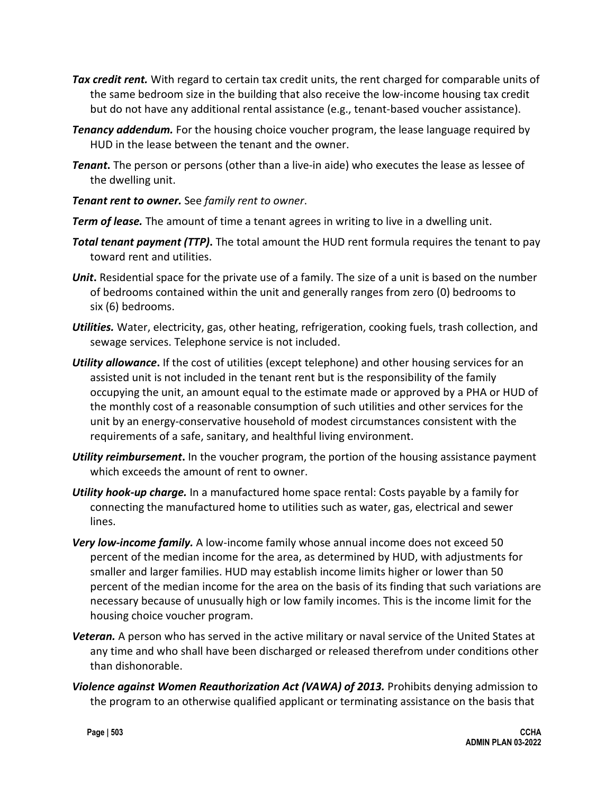- *Tax credit rent.* With regard to certain tax credit units, the rent charged for comparable units of the same bedroom size in the building that also receive the low-income housing tax credit but do not have any additional rental assistance (e.g., tenant-based voucher assistance).
- *Tenancy addendum.* For the housing choice voucher program, the lease language required by HUD in the lease between the tenant and the owner.
- *Tenant***.** The person or persons (other than a live-in aide) who executes the lease as lessee of the dwelling unit.
- *Tenant rent to owner.* See *family rent to owner*.
- *Term of lease.* The amount of time a tenant agrees in writing to live in a dwelling unit.
- *Total tenant payment (TTP)***.** The total amount the HUD rent formula requires the tenant to pay toward rent and utilities.
- *Unit***.** Residential space for the private use of a family. The size of a unit is based on the number of bedrooms contained within the unit and generally ranges from zero (0) bedrooms to six (6) bedrooms.
- *Utilities.* Water, electricity, gas, other heating, refrigeration, cooking fuels, trash collection, and sewage services. Telephone service is not included.
- *Utility allowance***.** If the cost of utilities (except telephone) and other housing services for an assisted unit is not included in the tenant rent but is the responsibility of the family occupying the unit, an amount equal to the estimate made or approved by a PHA or HUD of the monthly cost of a reasonable consumption of such utilities and other services for the unit by an energy-conservative household of modest circumstances consistent with the requirements of a safe, sanitary, and healthful living environment.
- *Utility reimbursement***.** In the voucher program, the portion of the housing assistance payment which exceeds the amount of rent to owner.
- *Utility hook-up charge.* In a manufactured home space rental: Costs payable by a family for connecting the manufactured home to utilities such as water, gas, electrical and sewer lines.
- *Very low-income family.* A low-income family whose annual income does not exceed 50 percent of the median income for the area, as determined by HUD, with adjustments for smaller and larger families. HUD may establish income limits higher or lower than 50 percent of the median income for the area on the basis of its finding that such variations are necessary because of unusually high or low family incomes. This is the income limit for the housing choice voucher program.
- *Veteran.* A person who has served in the active military or naval service of the United States at any time and who shall have been discharged or released therefrom under conditions other than dishonorable.
- *Violence against Women Reauthorization Act (VAWA) of 2013.* Prohibits denying admission to the program to an otherwise qualified applicant or terminating assistance on the basis that